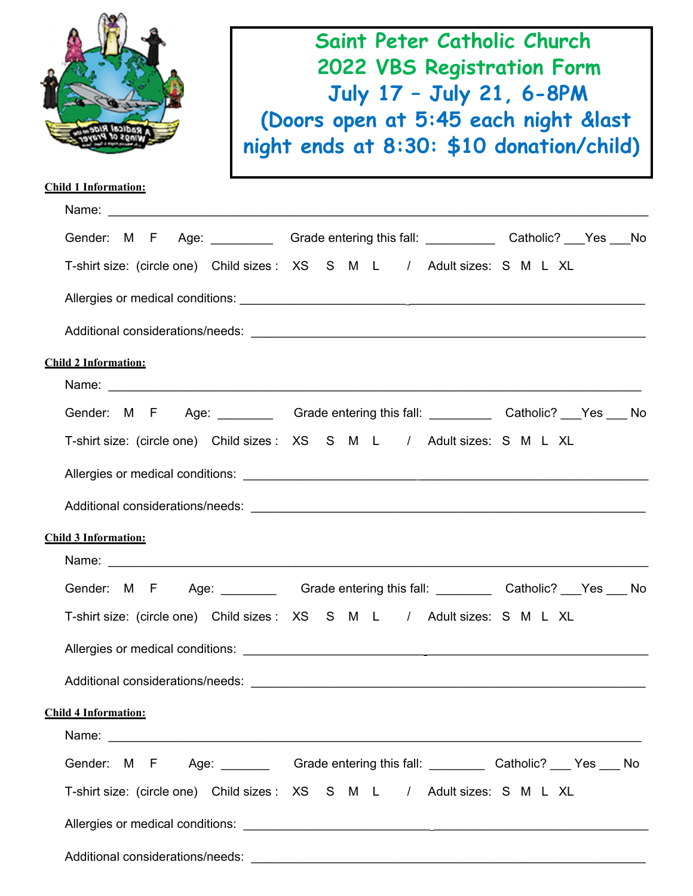|                                  | Saint Peter Catholic Church<br><b>2022 VBS Registration Form</b><br>July 17 - July 21, 6-8PM                                                                                                                                         |  |  |  |  |  |  |
|----------------------------------|--------------------------------------------------------------------------------------------------------------------------------------------------------------------------------------------------------------------------------------|--|--|--|--|--|--|
|                                  |                                                                                                                                                                                                                                      |  |  |  |  |  |  |
|                                  | (Doors open at 5:45 each night &last                                                                                                                                                                                                 |  |  |  |  |  |  |
|                                  | night ends at 8:30: \$10 donation/child)                                                                                                                                                                                             |  |  |  |  |  |  |
| <b>Child 1 Information:</b>      |                                                                                                                                                                                                                                      |  |  |  |  |  |  |
|                                  |                                                                                                                                                                                                                                      |  |  |  |  |  |  |
|                                  | Gender: M F Age: Crade entering this fall: Catholic? Nes No                                                                                                                                                                          |  |  |  |  |  |  |
|                                  | T-shirt size: (circle one) Child sizes : XS S M L / Adult sizes: S M L XL                                                                                                                                                            |  |  |  |  |  |  |
|                                  |                                                                                                                                                                                                                                      |  |  |  |  |  |  |
|                                  |                                                                                                                                                                                                                                      |  |  |  |  |  |  |
| <b>Child 2 Information:</b>      |                                                                                                                                                                                                                                      |  |  |  |  |  |  |
|                                  |                                                                                                                                                                                                                                      |  |  |  |  |  |  |
|                                  | Gender: M F Age: Crade entering this fall: Catholic? Nes No                                                                                                                                                                          |  |  |  |  |  |  |
|                                  | T-shirt size: (circle one) Child sizes : XS S M L / Adult sizes: S M L XL                                                                                                                                                            |  |  |  |  |  |  |
|                                  |                                                                                                                                                                                                                                      |  |  |  |  |  |  |
| Additional considerations/needs: |                                                                                                                                                                                                                                      |  |  |  |  |  |  |
| <b>Child 3 Information:</b>      |                                                                                                                                                                                                                                      |  |  |  |  |  |  |
|                                  |                                                                                                                                                                                                                                      |  |  |  |  |  |  |
|                                  | Gender: M F Age: Grade entering this fall: Catholic? Yes No                                                                                                                                                                          |  |  |  |  |  |  |
|                                  | T-shirt size: (circle one) Child sizes: XS S M L / Adult sizes: S M L XL                                                                                                                                                             |  |  |  |  |  |  |
|                                  |                                                                                                                                                                                                                                      |  |  |  |  |  |  |
|                                  |                                                                                                                                                                                                                                      |  |  |  |  |  |  |
| <b>Child 4 Information:</b>      |                                                                                                                                                                                                                                      |  |  |  |  |  |  |
|                                  | Name: <u>example and a series of the series of the series of the series of the series of the series of the series of the series of the series of the series of the series of the series of the series of the series of the serie</u> |  |  |  |  |  |  |
|                                  | Gender: M F Age: Crade entering this fall: Catholic? Nes No                                                                                                                                                                          |  |  |  |  |  |  |
|                                  | T-shirt size: (circle one) Child sizes: XS S M L / Adult sizes: S M L XL                                                                                                                                                             |  |  |  |  |  |  |
|                                  |                                                                                                                                                                                                                                      |  |  |  |  |  |  |
|                                  |                                                                                                                                                                                                                                      |  |  |  |  |  |  |